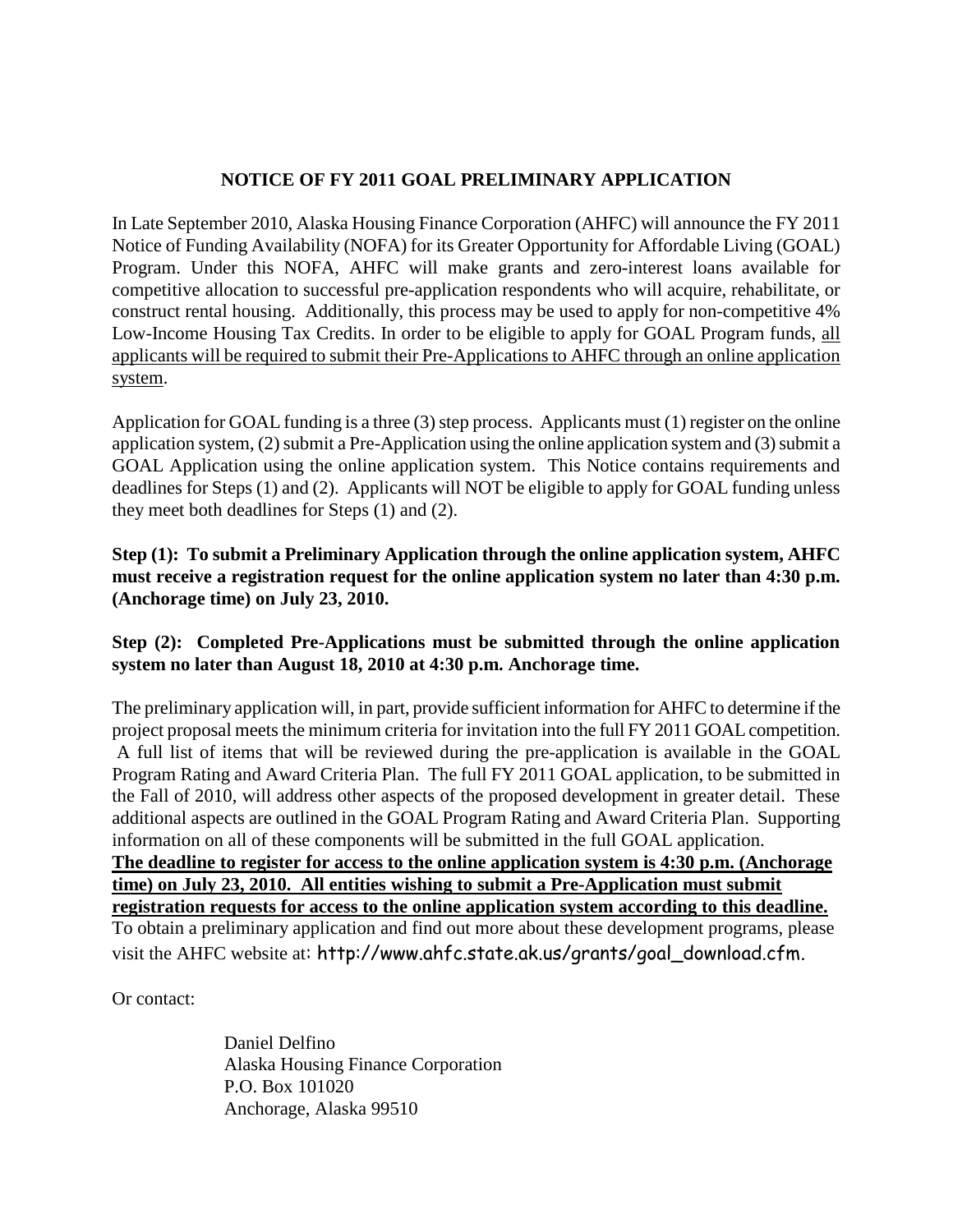## **NOTICE OF FY 2011 GOAL PRELIMINARY APPLICATION**

In Late September 2010, Alaska Housing Finance Corporation (AHFC) will announce the FY 2011 Notice of Funding Availability (NOFA) for its Greater Opportunity for Affordable Living (GOAL) Program. Under this NOFA, AHFC will make grants and zero-interest loans available for competitive allocation to successful pre-application respondents who will acquire, rehabilitate, or construct rental housing. Additionally, this process may be used to apply for non-competitive 4% Low-Income Housing Tax Credits. In order to be eligible to apply for GOAL Program funds, all applicants will be required to submit their Pre-Applications to AHFC through an online application system.

Application for GOAL funding is a three (3) step process. Applicants must (1) register on the online application system, (2) submit a Pre-Application using the online application system and (3) submit a GOAL Application using the online application system. This Notice contains requirements and deadlines for Steps (1) and (2). Applicants will NOT be eligible to apply for GOAL funding unless they meet both deadlines for Steps (1) and (2).

**Step (1): To submit a Preliminary Application through the online application system, AHFC must receive a registration request for the online application system no later than 4:30 p.m. (Anchorage time) on July 23, 2010.** 

## **Step (2): Completed Pre-Applications must be submitted through the online application system no later than August 18, 2010 at 4:30 p.m. Anchorage time.**

The preliminary application will, in part, provide sufficient information for AHFC to determine if the project proposal meets the minimum criteria for invitation into the full FY 2011 GOAL competition. A full list of items that will be reviewed during the pre-application is available in the GOAL Program Rating and Award Criteria Plan. The full FY 2011 GOAL application, to be submitted in the Fall of 2010, will address other aspects of the proposed development in greater detail. These additional aspects are outlined in the GOAL Program Rating and Award Criteria Plan. Supporting information on all of these components will be submitted in the full GOAL application. **The deadline to register for access to the online application system is 4:30 p.m. (Anchorage time) on July 23, 2010. All entities wishing to submit a Pre-Application must submit registration requests for access to the online application system according to this deadline.** To obtain a preliminary application and find out more about these development programs, please visit the AHFC website at: http://www.ahfc.state.ak.us/grants/goal\_download.cfm.

Or contact:

Daniel Delfino Alaska Housing Finance Corporation P.O. Box 101020 Anchorage, Alaska 99510